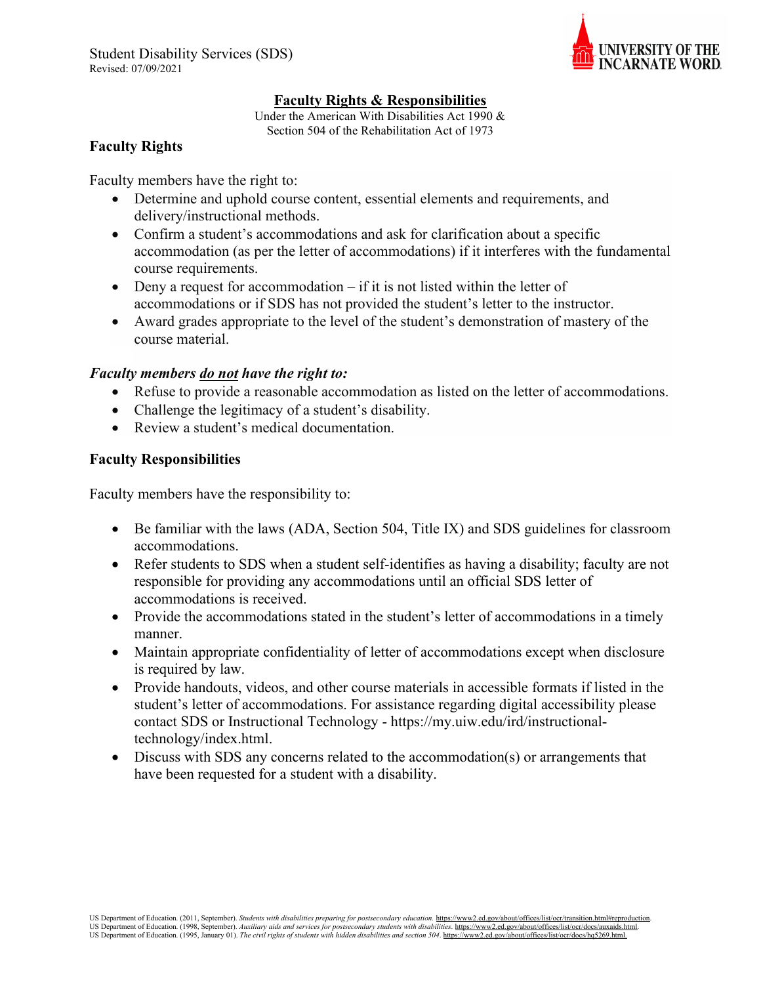

## **Faculty Rights & Responsibilities**

Under the American With Disabilities Act 1990 & Section 504 of the Rehabilitation Act of 1973

## **Faculty Rights**

Faculty members have the right to:

- Determine and uphold course content, essential elements and requirements, and delivery/instructional methods.
- Confirm a student's accommodations and ask for clarification about a specific accommodation (as per the letter of accommodations) if it interferes with the fundamental course requirements.
- Deny a request for accommodation if it is not listed within the letter of accommodations or if SDS has not provided the student's letter to the instructor.
- Award grades appropriate to the level of the student's demonstration of mastery of the course material.

# *Faculty members do not have the right to:*

- Refuse to provide a reasonable accommodation as listed on the letter of accommodations.
- Challenge the legitimacy of a student's disability.
- Review a student's medical documentation.

# **Faculty Responsibilities**

Faculty members have the responsibility to:

- Be familiar with the laws (ADA, Section 504, Title IX) and SDS guidelines for classroom accommodations.
- Refer students to SDS when a student self-identifies as having a disability; faculty are not responsible for providing any accommodations until an official SDS letter of accommodations is received.
- Provide the accommodations stated in the student's letter of accommodations in a timely manner.
- Maintain appropriate confidentiality of letter of accommodations except when disclosure is required by law.
- Provide handouts, videos, and other course materials in accessible formats if listed in the student's letter of accommodations. For assistance regarding digital accessibility please contact SDS or Instructional Technology - https://my.uiw.edu/ird/instructionaltechnology/index.html.
- Discuss with SDS any concerns related to the accommodation(s) or arrangements that have been requested for a student with a disability.